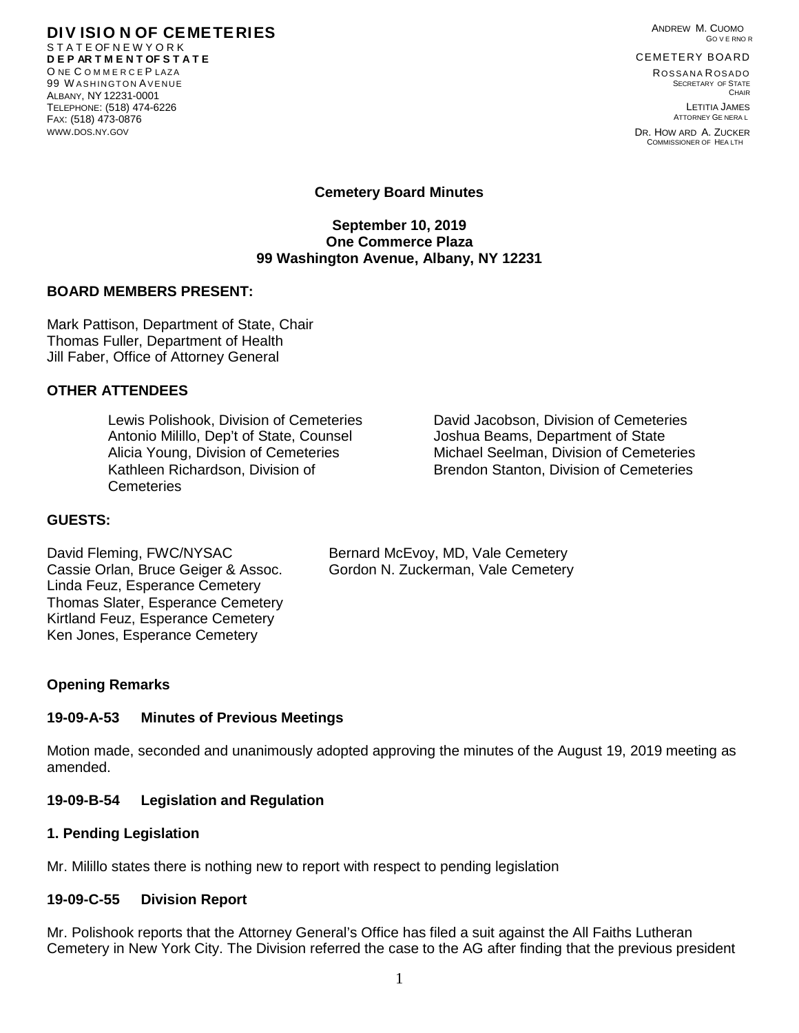ANDREW M. CUOMO GO V E RNO R

#### **DIV ISIO N OF CEMETERIES** S T A T E OF N E W Y O R K **D E P AR T M E N T OF S T A T E** O NE COMMERCEPLAZA 99 WASHINGTON AVENUE ALBANY, NY 12231-0001

TELEPHONE: (518) 474-6226 FAX: (518) 473-0876 [WWW.DOS.NY.GOV](http://www.dos.ny.gov/)

CEMETERY BOARD ROSSANA ROSADO

SECRETARY OF STATE **CHAIR** LETITIA JAMES ATTORNEY GE NERA L

DR. HOW ARD A. ZUCKER COMMISSIONER OF HEA LTH

# **Cemetery Board Minutes**

#### **September 10, 2019 One Commerce Plaza 99 Washington Avenue, Albany, NY 12231**

### **BOARD MEMBERS PRESENT:**

Mark Pattison, Department of State, Chair Thomas Fuller, Department of Health Jill Faber, Office of Attorney General

# **OTHER ATTENDEES**

Lewis Polishook, Division of Cemeteries David Jacobson, Division of Cemeteries Antonio Milillo, Dep't of State, Counsel Joshua Beams, Department of State Kathleen Richardson, Division of **Cemeteries** 

Alicia Young, Division of Cemeteries Michael Seelman, Division of Cemeteries Brendon Stanton, Division of Cemeteries

# **GUESTS:**

David Fleming, FWC/NYSAC Bernard McEvoy, MD, Vale Cemetery Cassie Orlan, Bruce Geiger & Assoc. Gordon N. Zuckerman, Vale Cemetery Linda Feuz, Esperance Cemetery Thomas Slater, Esperance Cemetery Kirtland Feuz, Esperance Cemetery Ken Jones, Esperance Cemetery

### **Opening Remarks**

# **19-09-A-53 Minutes of Previous Meetings**

Motion made, seconded and unanimously adopted approving the minutes of the August 19, 2019 meeting as amended.

### **19-09-B-54 Legislation and Regulation**

### **1. Pending Legislation**

Mr. Milillo states there is nothing new to report with respect to pending legislation

### **19-09-C-55 Division Report**

Mr. Polishook reports that the Attorney General's Office has filed a suit against the All Faiths Lutheran Cemetery in New York City. The Division referred the case to the AG after finding that the previous president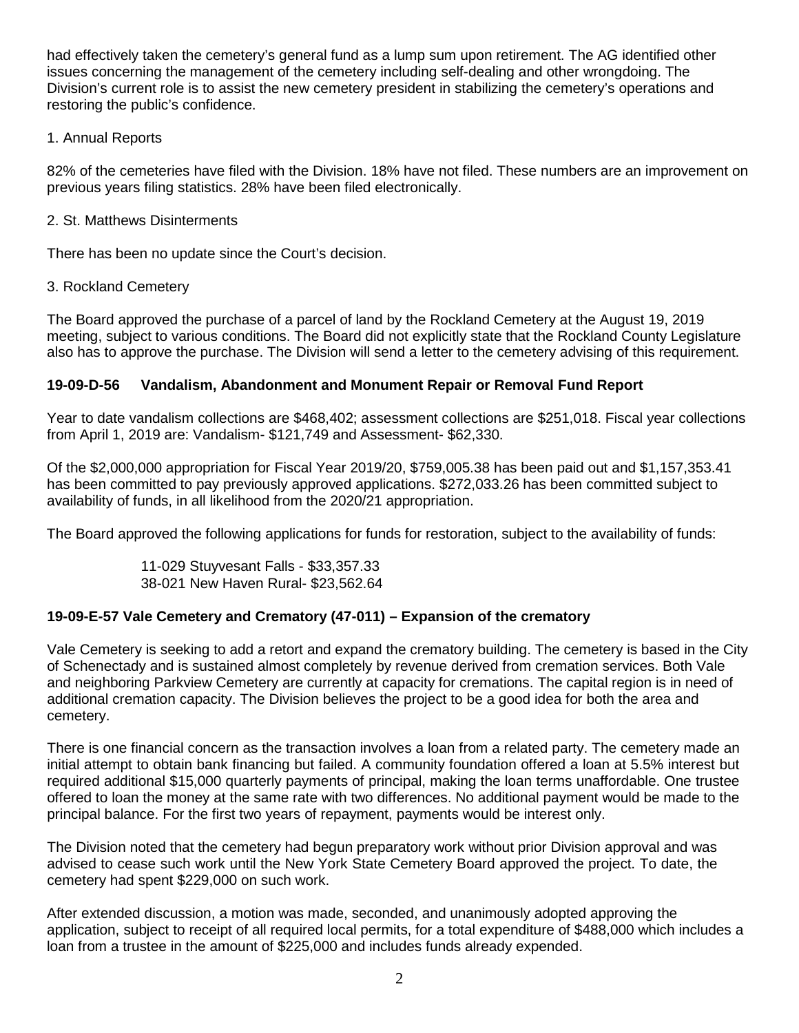had effectively taken the cemetery's general fund as a lump sum upon retirement. The AG identified other issues concerning the management of the cemetery including self-dealing and other wrongdoing. The Division's current role is to assist the new cemetery president in stabilizing the cemetery's operations and restoring the public's confidence.

# 1. Annual Reports

82% of the cemeteries have filed with the Division. 18% have not filed. These numbers are an improvement on previous years filing statistics. 28% have been filed electronically.

### 2. St. Matthews Disinterments

There has been no update since the Court's decision.

### 3. Rockland Cemetery

The Board approved the purchase of a parcel of land by the Rockland Cemetery at the August 19, 2019 meeting, subject to various conditions. The Board did not explicitly state that the Rockland County Legislature also has to approve the purchase. The Division will send a letter to the cemetery advising of this requirement.

### **19-09-D-56 Vandalism, Abandonment and Monument Repair or Removal Fund Report**

Year to date vandalism collections are \$468,402; assessment collections are \$251,018. Fiscal year collections from April 1, 2019 are: Vandalism- \$121,749 and Assessment- \$62,330.

Of the \$2,000,000 appropriation for Fiscal Year 2019/20, \$759,005.38 has been paid out and \$1,157,353.41 has been committed to pay previously approved applications. \$272,033.26 has been committed subject to availability of funds, in all likelihood from the 2020/21 appropriation.

The Board approved the following applications for funds for restoration, subject to the availability of funds:

11-029 Stuyvesant Falls - \$33,357.33 38-021 New Haven Rural- \$23,562.64

### **19-09-E-57 Vale Cemetery and Crematory (47-011) – Expansion of the crematory**

Vale Cemetery is seeking to add a retort and expand the crematory building. The cemetery is based in the City of Schenectady and is sustained almost completely by revenue derived from cremation services. Both Vale and neighboring Parkview Cemetery are currently at capacity for cremations. The capital region is in need of additional cremation capacity. The Division believes the project to be a good idea for both the area and cemetery.

There is one financial concern as the transaction involves a loan from a related party. The cemetery made an initial attempt to obtain bank financing but failed. A community foundation offered a loan at 5.5% interest but required additional \$15,000 quarterly payments of principal, making the loan terms unaffordable. One trustee offered to loan the money at the same rate with two differences. No additional payment would be made to the principal balance. For the first two years of repayment, payments would be interest only.

The Division noted that the cemetery had begun preparatory work without prior Division approval and was advised to cease such work until the New York State Cemetery Board approved the project. To date, the cemetery had spent \$229,000 on such work.

After extended discussion, a motion was made, seconded, and unanimously adopted approving the application, subject to receipt of all required local permits, for a total expenditure of \$488,000 which includes a loan from a trustee in the amount of \$225,000 and includes funds already expended.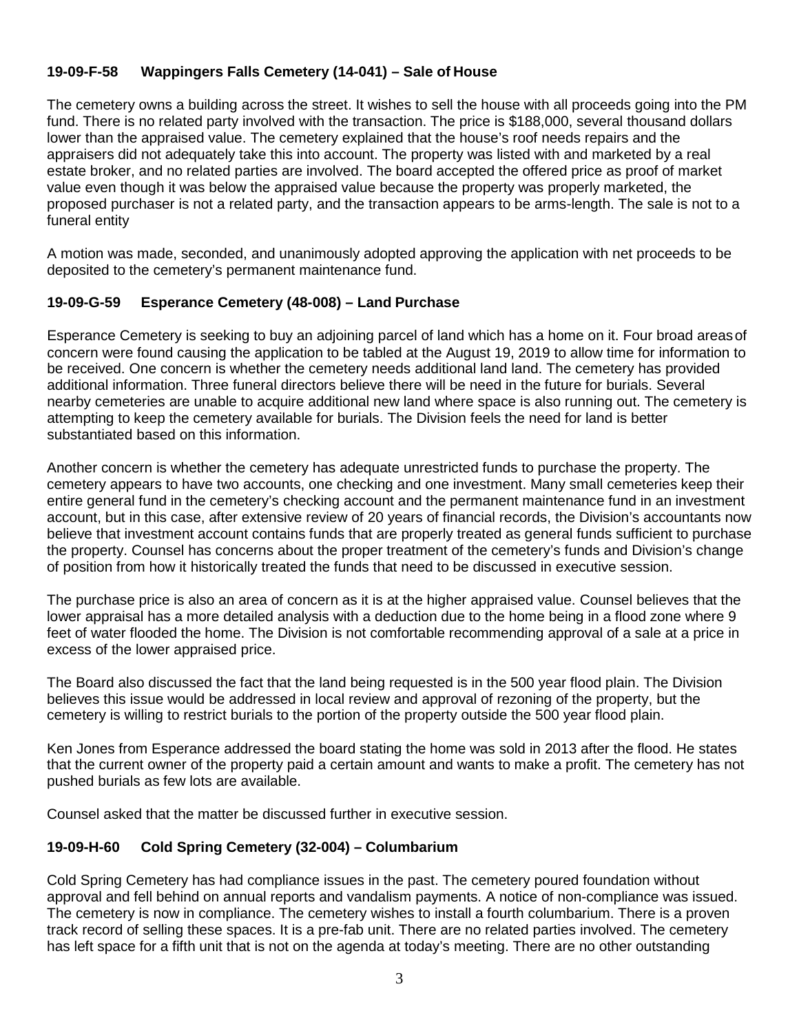# **19-09-F-58 Wappingers Falls Cemetery (14-041) – Sale of House**

The cemetery owns a building across the street. It wishes to sell the house with all proceeds going into the PM fund. There is no related party involved with the transaction. The price is \$188,000, several thousand dollars lower than the appraised value. The cemetery explained that the house's roof needs repairs and the appraisers did not adequately take this into account. The property was listed with and marketed by a real estate broker, and no related parties are involved. The board accepted the offered price as proof of market value even though it was below the appraised value because the property was properly marketed, the proposed purchaser is not a related party, and the transaction appears to be arms-length. The sale is not to a funeral entity

A motion was made, seconded, and unanimously adopted approving the application with net proceeds to be deposited to the cemetery's permanent maintenance fund.

# **19-09-G-59 Esperance Cemetery (48-008) – Land Purchase**

Esperance Cemetery is seeking to buy an adjoining parcel of land which has a home on it. Four broad areasof concern were found causing the application to be tabled at the August 19, 2019 to allow time for information to be received. One concern is whether the cemetery needs additional land land. The cemetery has provided additional information. Three funeral directors believe there will be need in the future for burials. Several nearby cemeteries are unable to acquire additional new land where space is also running out. The cemetery is attempting to keep the cemetery available for burials. The Division feels the need for land is better substantiated based on this information.

Another concern is whether the cemetery has adequate unrestricted funds to purchase the property. The cemetery appears to have two accounts, one checking and one investment. Many small cemeteries keep their entire general fund in the cemetery's checking account and the permanent maintenance fund in an investment account, but in this case, after extensive review of 20 years of financial records, the Division's accountants now believe that investment account contains funds that are properly treated as general funds sufficient to purchase the property. Counsel has concerns about the proper treatment of the cemetery's funds and Division's change of position from how it historically treated the funds that need to be discussed in executive session.

The purchase price is also an area of concern as it is at the higher appraised value. Counsel believes that the lower appraisal has a more detailed analysis with a deduction due to the home being in a flood zone where 9 feet of water flooded the home. The Division is not comfortable recommending approval of a sale at a price in excess of the lower appraised price.

The Board also discussed the fact that the land being requested is in the 500 year flood plain. The Division believes this issue would be addressed in local review and approval of rezoning of the property, but the cemetery is willing to restrict burials to the portion of the property outside the 500 year flood plain.

Ken Jones from Esperance addressed the board stating the home was sold in 2013 after the flood. He states that the current owner of the property paid a certain amount and wants to make a profit. The cemetery has not pushed burials as few lots are available.

Counsel asked that the matter be discussed further in executive session.

### **19-09-H-60 Cold Spring Cemetery (32-004) – Columbarium**

Cold Spring Cemetery has had compliance issues in the past. The cemetery poured foundation without approval and fell behind on annual reports and vandalism payments. A notice of non-compliance was issued. The cemetery is now in compliance. The cemetery wishes to install a fourth columbarium. There is a proven track record of selling these spaces. It is a pre-fab unit. There are no related parties involved. The cemetery has left space for a fifth unit that is not on the agenda at today's meeting. There are no other outstanding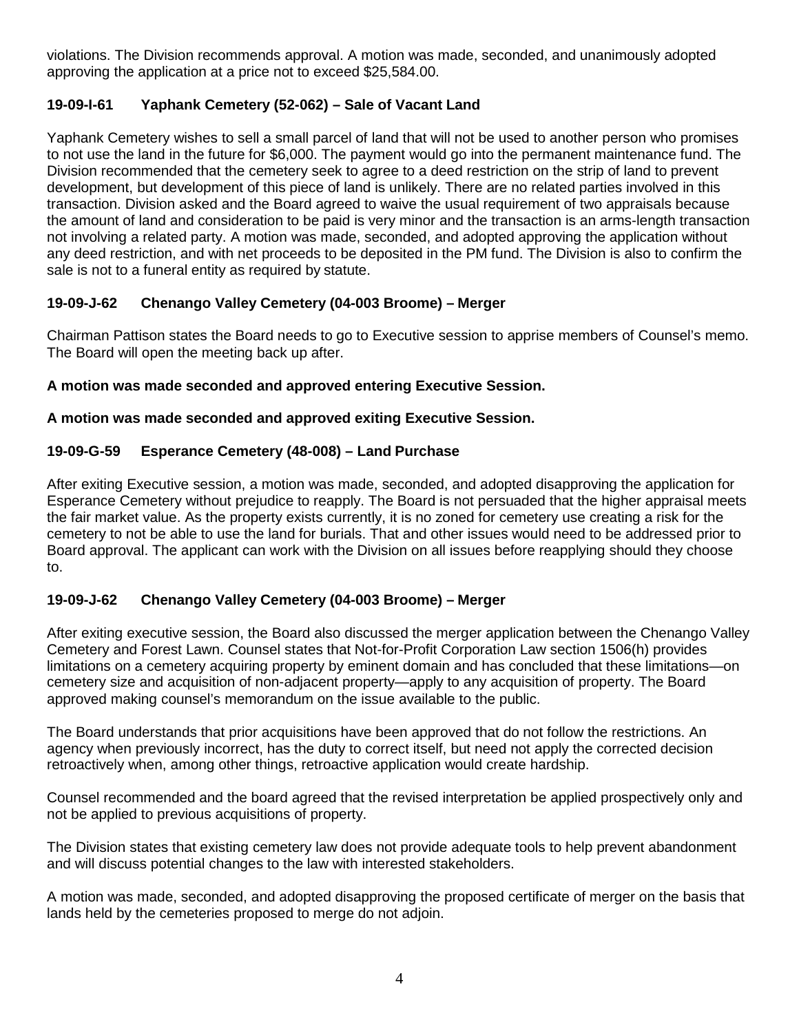violations. The Division recommends approval. A motion was made, seconded, and unanimously adopted approving the application at a price not to exceed \$25,584.00.

# **19-09-I-61 Yaphank Cemetery (52-062) – Sale of Vacant Land**

Yaphank Cemetery wishes to sell a small parcel of land that will not be used to another person who promises to not use the land in the future for \$6,000. The payment would go into the permanent maintenance fund. The Division recommended that the cemetery seek to agree to a deed restriction on the strip of land to prevent development, but development of this piece of land is unlikely. There are no related parties involved in this transaction. Division asked and the Board agreed to waive the usual requirement of two appraisals because the amount of land and consideration to be paid is very minor and the transaction is an arms-length transaction not involving a related party. A motion was made, seconded, and adopted approving the application without any deed restriction, and with net proceeds to be deposited in the PM fund. The Division is also to confirm the sale is not to a funeral entity as required by statute.

# **19-09-J-62 Chenango Valley Cemetery (04-003 Broome) – Merger**

Chairman Pattison states the Board needs to go to Executive session to apprise members of Counsel's memo. The Board will open the meeting back up after.

# **A motion was made seconded and approved entering Executive Session.**

# **A motion was made seconded and approved exiting Executive Session.**

# **19-09-G-59 Esperance Cemetery (48-008) – Land Purchase**

After exiting Executive session, a motion was made, seconded, and adopted disapproving the application for Esperance Cemetery without prejudice to reapply. The Board is not persuaded that the higher appraisal meets the fair market value. As the property exists currently, it is no zoned for cemetery use creating a risk for the cemetery to not be able to use the land for burials. That and other issues would need to be addressed prior to Board approval. The applicant can work with the Division on all issues before reapplying should they choose to.

# **19-09-J-62 Chenango Valley Cemetery (04-003 Broome) – Merger**

After exiting executive session, the Board also discussed the merger application between the Chenango Valley Cemetery and Forest Lawn. Counsel states that Not-for-Profit Corporation Law section 1506(h) provides limitations on a cemetery acquiring property by eminent domain and has concluded that these limitations—on cemetery size and acquisition of non-adjacent property—apply to any acquisition of property. The Board approved making counsel's memorandum on the issue available to the public.

The Board understands that prior acquisitions have been approved that do not follow the restrictions. An agency when previously incorrect, has the duty to correct itself, but need not apply the corrected decision retroactively when, among other things, retroactive application would create hardship.

Counsel recommended and the board agreed that the revised interpretation be applied prospectively only and not be applied to previous acquisitions of property.

The Division states that existing cemetery law does not provide adequate tools to help prevent abandonment and will discuss potential changes to the law with interested stakeholders.

A motion was made, seconded, and adopted disapproving the proposed certificate of merger on the basis that lands held by the cemeteries proposed to merge do not adjoin.